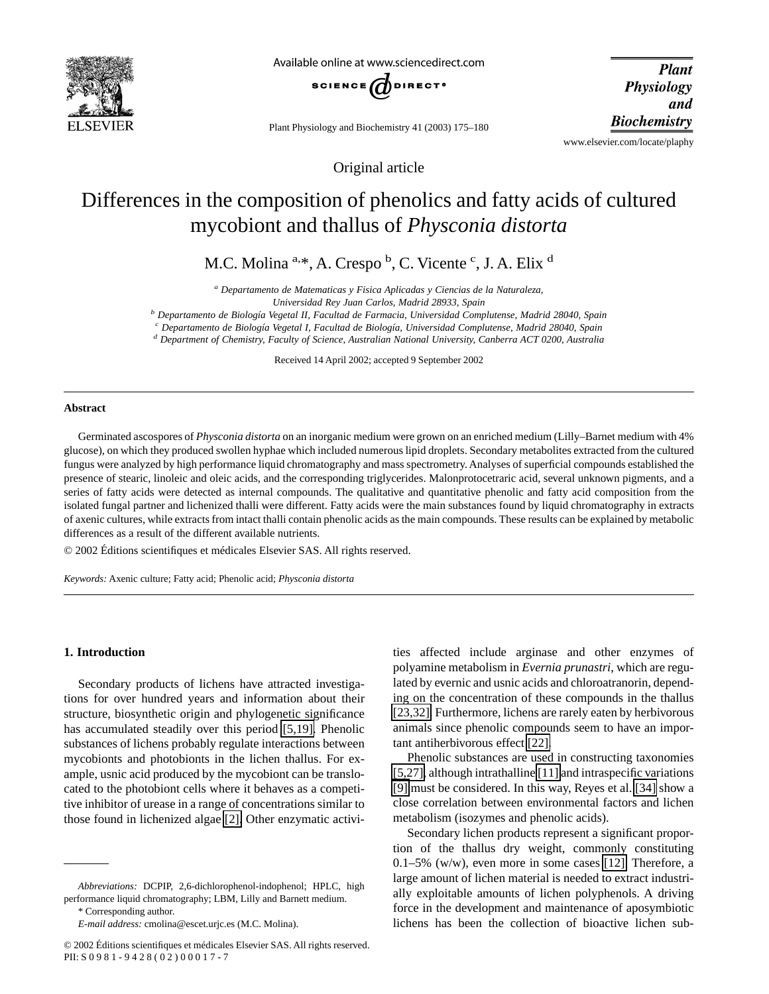

Available online at www.sciencedirect.com



Plant Physiology and Biochemistry 41 (2003) 175–180

**Plant Physiology** and **Biochemistry** 

www.elsevier.com/locate/plaphy

Original article

# Differences in the composition of phenolics and fatty acids of cultured mycobiont and thallus of *Physconia distorta*

M.C. Molina <sup>a,\*</sup>, A. Crespo <sup>b</sup>, C. Vicente <sup>c</sup>, J. A. Elix <sup>d</sup>

*<sup>a</sup> Departamento de Matematicas y Fisica Aplicadas y Ciencias de la Naturaleza,*

*Universidad Rey Juan Carlos, Madrid 28933, Spain*

*<sup>b</sup> Departamento de Biología Vegetal II, Facultad de Farmacia, Universidad Complutense, Madrid 28040, Spain*

*<sup>c</sup> Departamento de Biología Vegetal I, Facultad de Biología, Universidad Complutense, Madrid 28040, Spain*

*<sup>d</sup> Department of Chemistry, Faculty of Science, Australian National University, Canberra ACT 0200, Australia*

Received 14 April 2002; accepted 9 September 2002

# **Abstract**

Germinated ascospores of *Physconia distorta* on an inorganic medium were grown on an enriched medium (Lilly–Barnet medium with 4% glucose), on which they produced swollen hyphae which included numerous lipid droplets. Secondary metabolites extracted from the cultured fungus were analyzed by high performance liquid chromatography and mass spectrometry. Analyses of superficial compounds established the presence of stearic, linoleic and oleic acids, and the corresponding triglycerides. Malonprotocetraric acid, several unknown pigments, and a series of fatty acids were detected as internal compounds. The qualitative and quantitative phenolic and fatty acid composition from the isolated fungal partner and lichenized thalli were different. Fatty acids were the main substances found by liquid chromatography in extracts of axenic cultures, while extracts from intact thalli contain phenolic acids as the main compounds. These results can be explained by metabolic differences as a result of the different available nutrients.

© 2002 Éditions scientifiques et médicales Elsevier SAS. All rights reserved.

*Keywords:* Axenic culture; Fatty acid; Phenolic acid; *Physconia distorta*

## **1. Introduction**

Secondary products of lichens have attracted investigations for over hundred years and information about their structure, biosynthetic origin and phylogenetic significance has accumulated steadily over this period [\[5,19\].](#page-4-0) Phenolic substances of lichens probably regulate interactions between mycobionts and photobionts in the lichen thallus. For example, usnic acid produced by the mycobiont can be translocated to the photobiont cells where it behaves as a competitive inhibitor of urease in a range of concentrations similar to those found in lichenized algae [\[2\].](#page-4-0) Other enzymatic activities affected include arginase and other enzymes of polyamine metabolism in *Evernia prunastri*, which are regulated by evernic and usnic acids and chloroatranorin, depending on the concentration of these compounds in the thallus [\[23,32\].](#page-5-0) Furthermore, lichens are rarely eaten by herbivorous animals since phenolic compounds seem to have an important antiherbivorous effect [\[22\].](#page-5-0)

Phenolic substances are used in constructing taxonomies [\[5,27\],](#page-4-0) although intrathalline [\[11\]](#page-4-0) and intraspecific variations [\[9\]](#page-4-0) must be considered. In this way, Reyes et al. [\[34\]](#page-5-0) show a close correlation between environmental factors and lichen metabolism (isozymes and phenolic acids).

Secondary lichen products represent a significant proportion of the thallus dry weight, commonly constituting 0.1–5% (w/w), even more in some cases [\[12\].](#page-4-0) Therefore, a large amount of lichen material is needed to extract industrially exploitable amounts of lichen polyphenols. A driving force in the development and maintenance of aposymbiotic lichens has been the collection of bioactive lichen sub-

*Abbreviations:* DCPIP, 2,6-dichlorophenol-indophenol; HPLC, high performance liquid chromatography; LBM, Lilly and Barnett medium. \* Corresponding author.

*E-mail address:* cmolina@escet.urjc.es (M.C. Molina).

<sup>© 2002</sup> Éditions scientifiques et médicales Elsevier SAS. All rights reserved. PII: S 0 9 8 1 - 9 4 2 8 ( 0 2 ) 0 0 0 1 7 - 7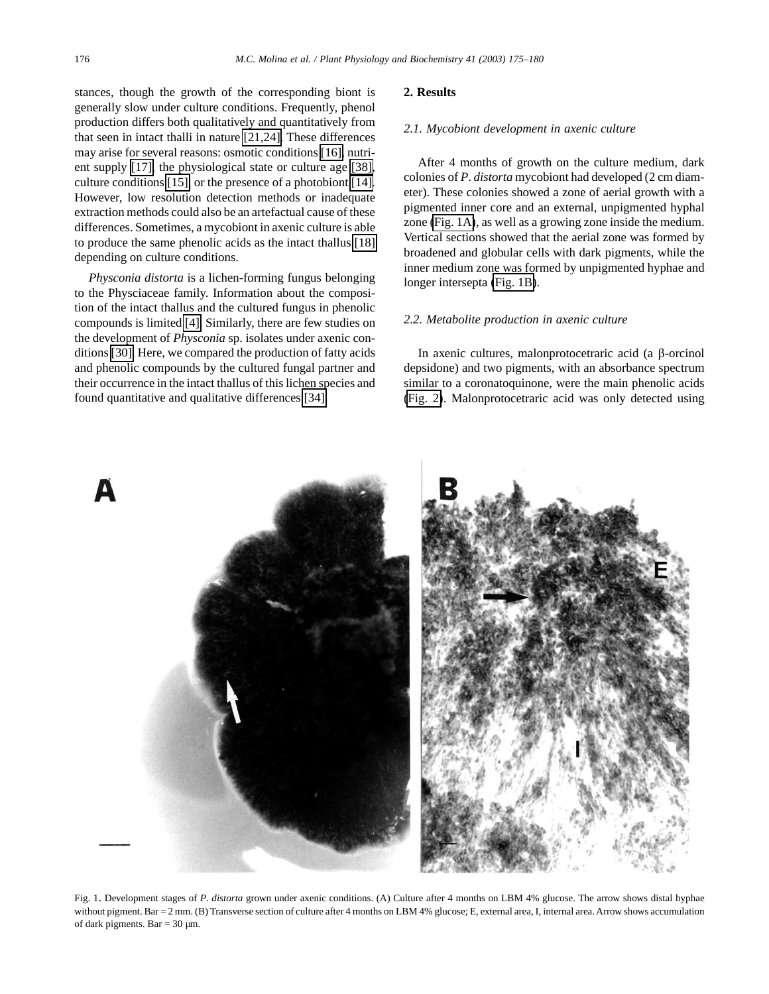<span id="page-1-0"></span>stances, though the growth of the corresponding biont is generally slow under culture conditions. Frequently, phenol production differs both qualitatively and quantitatively from that seen in intact thalli in nature [\[21,24\].](#page-5-0) These differences may arise for several reasons: osmotic conditions [\[16\],](#page-4-0) nutrient supply [\[17\],](#page-4-0) the physiological state or culture age [\[38\],](#page-5-0) culture conditions [\[15\],](#page-4-0) or the presence of a photobiont [\[14\].](#page-4-0) However, low resolution detection methods or inadequate extraction methods could also be an artefactual cause of these differences. Sometimes, a mycobiont in axenic culture is able to produce the same phenolic acids as the intact thallus [\[18\]](#page-4-0) depending on culture conditions.

*Physconia distorta* is a lichen-forming fungus belonging to the Physciaceae family. Information about the composition of the intact thallus and the cultured fungus in phenolic compounds is limited [\[4\].](#page-4-0) Similarly, there are few studies on the development of *Physconia* sp. isolates under axenic conditions [\[30\].](#page-5-0) Here, we compared the production of fatty acids and phenolic compounds by the cultured fungal partner and their occurrence in the intact thallus of this lichen species and found quantitative and qualitative differences [\[34\].](#page-5-0)

## **2. Results**

## *2.1. Mycobiont development in axenic culture*

After 4 months of growth on the culture medium, dark colonies of *P*. *distorta* mycobiont had developed (2 cm diameter). These colonies showed a zone of aerial growth with a pigmented inner core and an external, unpigmented hyphal zone (Fig. 1A), as well as a growing zone inside the medium. Vertical sections showed that the aerial zone was formed by broadened and globular cells with dark pigments, while the inner medium zone was formed by unpigmented hyphae and longer intersepta (Fig. 1B).

## *2.2. Metabolite production in axenic culture*

In axenic cultures, malonprotocetraric acid (a  $\beta$ -orcinol depsidone) and two pigments, with an absorbance spectrum similar to a coronatoquinone, were the main phenolic acids [\(Fig. 2\)](#page-2-0). Malonprotocetraric acid was only detected using



Fig. 1. Development stages of *P*. *distorta* grown under axenic conditions. (A) Culture after 4 months on LBM 4% glucose. The arrow shows distal hyphae without pigment. Bar = 2 mm. (B) Transverse section of culture after 4 months on LBM 4% glucose; E, external area, I, internal area. Arrow shows accumulation of dark pigments. Bar =  $30 \mu m$ .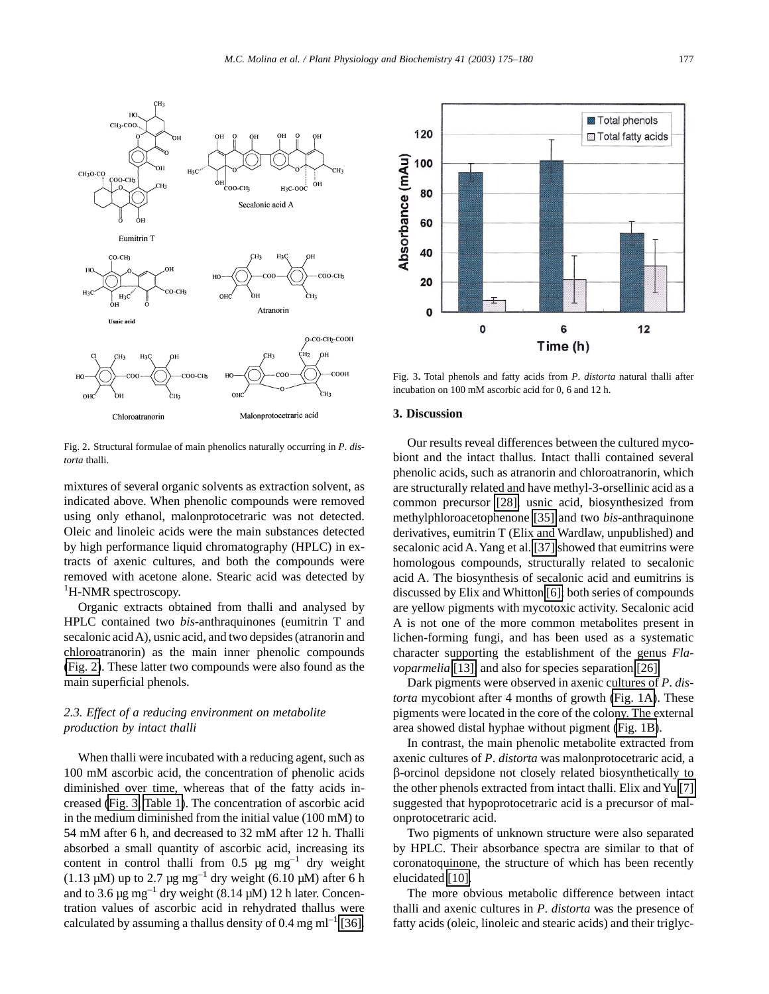

<span id="page-2-0"></span>

Fig. 2. Structural formulae of main phenolics naturally occurring in *P*. *distorta* thalli.

mixtures of several organic solvents as extraction solvent, as indicated above. When phenolic compounds were removed using only ethanol, malonprotocetraric was not detected. Oleic and linoleic acids were the main substances detected by high performance liquid chromatography (HPLC) in extracts of axenic cultures, and both the compounds were removed with acetone alone. Stearic acid was detected by <sup>1</sup>H-NMR spectroscopy.

Organic extracts obtained from thalli and analysed by HPLC contained two *bis*-anthraquinones (eumitrin T and secalonic acid A), usnic acid, and two depsides (atranorin and chloroatranorin) as the main inner phenolic compounds (Fig. 2). These latter two compounds were also found as the main superficial phenols.

# *2.3. Effect of a reducing environment on metabolite production by intact thalli*

When thalli were incubated with a reducing agent, such as 100 mM ascorbic acid, the concentration of phenolic acids diminished over time, whereas that of the fatty acids increased (Fig. 3, [Table 1\)](#page-3-0). The concentration of ascorbic acid in the medium diminished from the initial value (100 mM) to 54 mM after 6 h, and decreased to 32 mM after 12 h. Thalli absorbed a small quantity of ascorbic acid, increasing its content in control thalli from 0.5  $\mu$ g mg<sup>-1</sup> dry weight (1.13  $\mu$ M) up to 2.7  $\mu$ g mg<sup>-1</sup> dry weight (6.10  $\mu$ M) after 6 h and to 3.6  $\mu$ g mg<sup>-1</sup> dry weight (8.14  $\mu$ M) 12 h later. Concentration values of ascorbic acid in rehydrated thallus were calculated by assuming a thallus density of 0.4 mg m $l^{-1}$  [\[36\].](#page-5-0)



Fig. 3. Total phenols and fatty acids from *P*. *distorta* natural thalli after incubation on 100 mM ascorbic acid for 0, 6 and 12 h.

# **3. Discussion**

Our results reveal differences between the cultured mycobiont and the intact thallus. Intact thalli contained several phenolic acids, such as atranorin and chloroatranorin, which are structurally related and have methyl-3-orsellinic acid as a common precursor [\[28\],](#page-5-0) usnic acid, biosynthesized from methylphloroacetophenone [\[35\]](#page-5-0) and two *bis*-anthraquinone derivatives, eumitrin T (Elix and Wardlaw, unpublished) and secalonic acid A.Yang et al. [\[37\]](#page-5-0) showed that eumitrins were homologous compounds, structurally related to secalonic acid A. The biosynthesis of secalonic acid and eumitrins is discussed by Elix and Whitton [\[6\];](#page-4-0) both series of compounds are yellow pigments with mycotoxic activity. Secalonic acid A is not one of the more common metabolites present in lichen-forming fungi, and has been used as a systematic character supporting the establishment of the genus *Flavoparmelia* [\[13\],](#page-4-0) and also for species separation [\[26\].](#page-5-0)

Dark pigments were observed in axenic cultures of *P*. *distorta* mycobiont after 4 months of growth [\(Fig. 1A\)](#page-1-0). These pigments were located in the core of the colony. The external area showed distal hyphae without pigment [\(Fig. 1B\)](#page-1-0).

In contrast, the main phenolic metabolite extracted from axenic cultures of *P*. *distorta* was malonprotocetraric acid, a b-orcinol depsidone not closely related biosynthetically to the other phenols extracted from intact thalli. Elix and Yu [\[7\]](#page-4-0) suggested that hypoprotocetraric acid is a precursor of malonprotocetraric acid.

Two pigments of unknown structure were also separated by HPLC. Their absorbance spectra are similar to that of coronatoquinone, the structure of which has been recently elucidated [\[10\].](#page-4-0)

The more obvious metabolic difference between intact thalli and axenic cultures in *P*. *distorta* was the presence of fatty acids (oleic, linoleic and stearic acids) and their triglyc-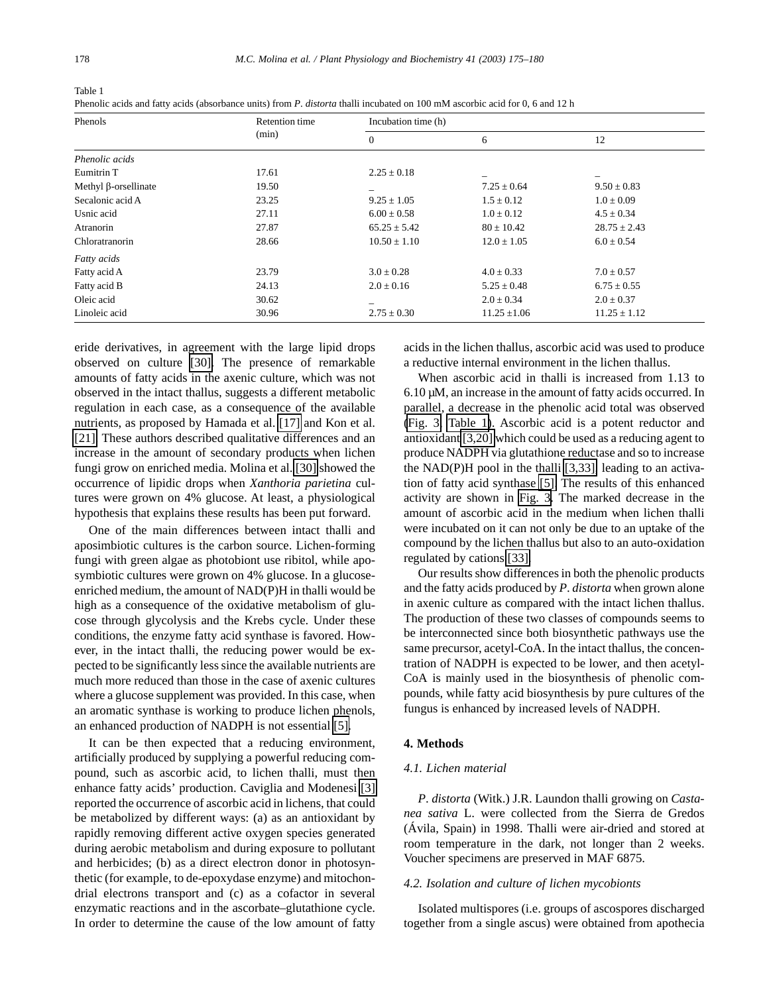<span id="page-3-0"></span>

| Table 1                                                                                                                       |
|-------------------------------------------------------------------------------------------------------------------------------|
| Phenolic acids and fatty acids (absorbance units) from P. distorta thalli incubated on 100 mM ascorbic acid for 0, 6 and 12 h |

| Phenols                     | Retention time<br>(min) | Incubation time (h) |                  |                  |
|-----------------------------|-------------------------|---------------------|------------------|------------------|
|                             |                         | $\theta$            | 6                | 12               |
| Phenolic acids              |                         |                     |                  |                  |
| Eumitrin T                  | 17.61                   | $2.25 \pm 0.18$     |                  |                  |
| Methyl $\beta$ -orsellinate | 19.50                   |                     | $7.25 \pm 0.64$  | $9.50 \pm 0.83$  |
| Secalonic acid A            | 23.25                   | $9.25 \pm 1.05$     | $1.5 \pm 0.12$   | $1.0 \pm 0.09$   |
| Usnic acid                  | 27.11                   | $6.00 \pm 0.58$     | $1.0 \pm 0.12$   | $4.5 \pm 0.34$   |
| Atranorin                   | 27.87                   | $65.25 \pm 5.42$    | $80 \pm 10.42$   | $28.75 \pm 2.43$ |
| Chloratranorin              | 28.66                   | $10.50 \pm 1.10$    | $12.0 \pm 1.05$  | $6.0 \pm 0.54$   |
| Fatty acids                 |                         |                     |                  |                  |
| Fatty acid A                | 23.79                   | $3.0 \pm 0.28$      | $4.0 \pm 0.33$   | $7.0 \pm 0.57$   |
| Fatty acid B                | 24.13                   | $2.0 \pm 0.16$      | $5.25 \pm 0.48$  | $6.75 \pm 0.55$  |
| Oleic acid                  | 30.62                   | -                   | $2.0 \pm 0.34$   | $2.0 \pm 0.37$   |
| Linoleic acid               | 30.96                   | $2.75 \pm 0.30$     | $11.25 \pm 1.06$ | $11.25 \pm 1.12$ |

eride derivatives, in agreement with the large lipid drops observed on culture [\[30\].](#page-5-0) The presence of remarkable amounts of fatty acids in the axenic culture, which was not observed in the intact thallus, suggests a different metabolic regulation in each case, as a consequence of the available nutrients, as proposed by Hamada et al. [\[17\]](#page-4-0) and Kon et al. [\[21\].](#page-5-0) These authors described qualitative differences and an increase in the amount of secondary products when lichen fungi grow on enriched media. Molina et al. [\[30\]](#page-5-0) showed the occurrence of lipidic drops when *Xanthoria parietina* cultures were grown on 4% glucose. At least, a physiological hypothesis that explains these results has been put forward.

One of the main differences between intact thalli and aposimbiotic cultures is the carbon source. Lichen-forming fungi with green algae as photobiont use ribitol, while aposymbiotic cultures were grown on 4% glucose. In a glucoseenriched medium, the amount of NAD(P)H in thalli would be high as a consequence of the oxidative metabolism of glucose through glycolysis and the Krebs cycle. Under these conditions, the enzyme fatty acid synthase is favored. However, in the intact thalli, the reducing power would be expected to be significantly less since the available nutrients are much more reduced than those in the case of axenic cultures where a glucose supplement was provided. In this case, when an aromatic synthase is working to produce lichen phenols, an enhanced production of NADPH is not essential [\[5\].](#page-4-0)

It can be then expected that a reducing environment, artificially produced by supplying a powerful reducing compound, such as ascorbic acid, to lichen thalli, must then enhance fatty acids' production. Caviglia and Modenesi [\[3\]](#page-4-0) reported the occurrence of ascorbic acid in lichens, that could be metabolized by different ways: (a) as an antioxidant by rapidly removing different active oxygen species generated during aerobic metabolism and during exposure to pollutant and herbicides; (b) as a direct electron donor in photosynthetic (for example, to de-epoxydase enzyme) and mitochondrial electrons transport and (c) as a cofactor in several enzymatic reactions and in the ascorbate–glutathione cycle. In order to determine the cause of the low amount of fatty

acids in the lichen thallus, ascorbic acid was used to produce a reductive internal environment in the lichen thallus.

When ascorbic acid in thalli is increased from 1.13 to  $6.10 \mu$ M, an increase in the amount of fatty acids occurred. In parallel, a decrease in the phenolic acid total was observed [\(Fig. 3,](#page-2-0) Table 1). Ascorbic acid is a potent reductor and antioxidant [\[3,20\]](#page-4-0) which could be used as a reducing agent to produce NADPH via glutathione reductase and so to increase the NAD(P)H pool in the thalli [\[3,33\],](#page-4-0) leading to an activation of fatty acid synthase [\[5\].](#page-4-0) The results of this enhanced activity are shown in [Fig. 3.](#page-2-0) The marked decrease in the amount of ascorbic acid in the medium when lichen thalli were incubated on it can not only be due to an uptake of the compound by the lichen thallus but also to an auto-oxidation regulated by cations [\[33\].](#page-5-0)

Our results show differences in both the phenolic products and the fatty acids produced by *P*. *distorta* when grown alone in axenic culture as compared with the intact lichen thallus. The production of these two classes of compounds seems to be interconnected since both biosynthetic pathways use the same precursor, acetyl-CoA. In the intact thallus, the concentration of NADPH is expected to be lower, and then acetyl-CoA is mainly used in the biosynthesis of phenolic compounds, while fatty acid biosynthesis by pure cultures of the fungus is enhanced by increased levels of NADPH.

# **4. Methods**

# *4.1. Lichen material*

*P*. *distorta* (Witk.) J.R. Laundon thalli growing on *Castanea sativa* L. were collected from the Sierra de Gredos (Ávila, Spain) in 1998. Thalli were air-dried and stored at room temperature in the dark, not longer than 2 weeks. Voucher specimens are preserved in MAF 6875.

## *4.2. Isolation and culture of lichen mycobionts*

Isolated multispores (i.e. groups of ascospores discharged together from a single ascus) were obtained from apothecia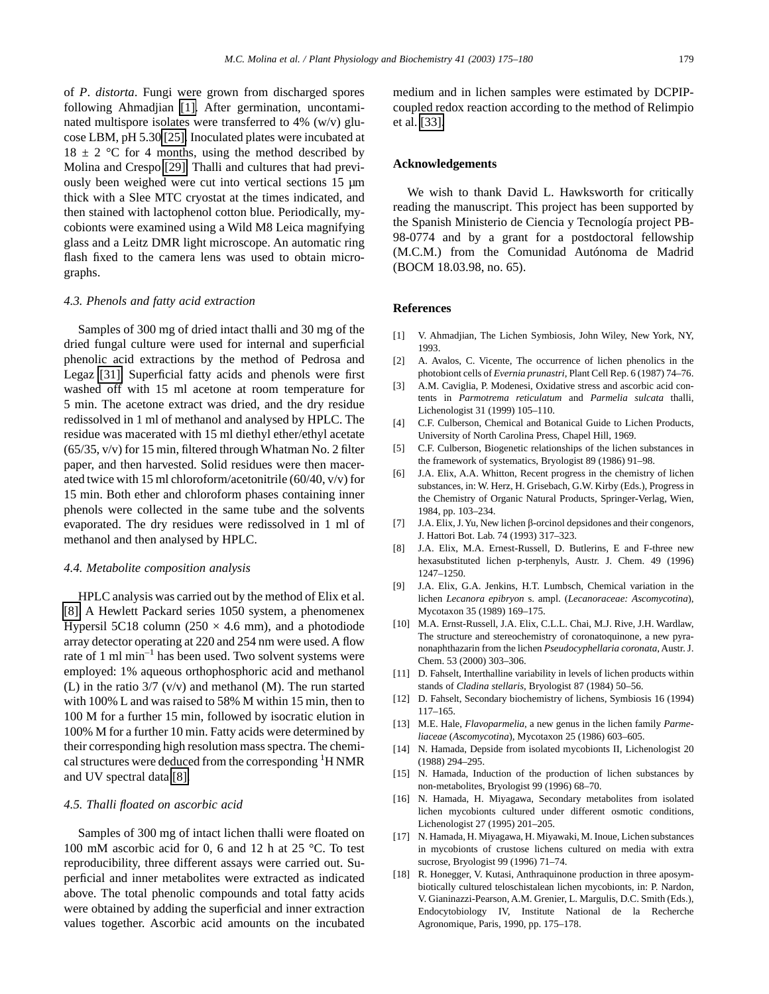<span id="page-4-0"></span>of *P*. *distorta*. Fungi were grown from discharged spores following Ahmadjian [1]. After germination, uncontaminated multispore isolates were transferred to 4% (w/v) glucose LBM, pH 5.30 [\[25\].](#page-5-0) Inoculated plates were incubated at  $18 \pm 2$  °C for 4 months, using the method described by Molina and Crespo [\[29\].](#page-5-0) Thalli and cultures that had previously been weighed were cut into vertical sections 15 µm thick with a Slee MTC cryostat at the times indicated, and then stained with lactophenol cotton blue. Periodically, mycobionts were examined using a Wild M8 Leica magnifying glass and a Leitz DMR light microscope. An automatic ring flash fixed to the camera lens was used to obtain micrographs.

## *4.3. Phenols and fatty acid extraction*

Samples of 300 mg of dried intact thalli and 30 mg of the dried fungal culture were used for internal and superficial phenolic acid extractions by the method of Pedrosa and Legaz [\[31\].](#page-5-0) Superficial fatty acids and phenols were first washed off with 15 ml acetone at room temperature for 5 min. The acetone extract was dried, and the dry residue redissolved in 1 ml of methanol and analysed by HPLC. The residue was macerated with 15 ml diethyl ether/ethyl acetate (65/35, v/v) for 15 min, filtered through Whatman No. 2 filter paper, and then harvested. Solid residues were then macerated twice with 15 ml chloroform/acetonitrile (60/40, v/v) for 15 min. Both ether and chloroform phases containing inner phenols were collected in the same tube and the solvents evaporated. The dry residues were redissolved in 1 ml of methanol and then analysed by HPLC.

#### *4.4. Metabolite composition analysis*

HPLC analysis was carried out by the method of Elix et al. [8]. A Hewlett Packard series 1050 system, a phenomenex Hypersil 5C18 column (250  $\times$  4.6 mm), and a photodiode array detector operating at 220 and 254 nm were used. A flow rate of 1 ml  $min^{-1}$  has been used. Two solvent systems were employed: 1% aqueous orthophosphoric acid and methanol (L) in the ratio  $3/7$  (v/v) and methanol (M). The run started with 100% L and was raised to 58% M within 15 min, then to 100 M for a further 15 min, followed by isocratic elution in 100% M for a further 10 min. Fatty acids were determined by their corresponding high resolution mass spectra. The chemical structures were deduced from the corresponding <sup>1</sup>H NMR and UV spectral data [8].

# *4.5. Thalli floated on ascorbic acid*

Samples of 300 mg of intact lichen thalli were floated on 100 mM ascorbic acid for 0, 6 and 12 h at 25 °C. To test reproducibility, three different assays were carried out. Superficial and inner metabolites were extracted as indicated above. The total phenolic compounds and total fatty acids were obtained by adding the superficial and inner extraction values together. Ascorbic acid amounts on the incubated medium and in lichen samples were estimated by DCPIPcoupled redox reaction according to the method of Relimpio et al. [\[33\].](#page-5-0)

# **Acknowledgements**

We wish to thank David L. Hawksworth for critically reading the manuscript. This project has been supported by the Spanish Ministerio de Ciencia y Tecnología project PB-98-0774 and by a grant for a postdoctoral fellowship (M.C.M.) from the Comunidad Autónoma de Madrid (BOCM 18.03.98, no. 65).

# **References**

- [1] V. Ahmadjian, The Lichen Symbiosis, John Wiley, New York, NY, 1993.
- [2] A. Avalos, C. Vicente, The occurrence of lichen phenolics in the photobiont cells of *Evernia prunastri*, Plant Cell Rep. 6 (1987) 74–76.
- [3] A.M. Caviglia, P. Modenesi, Oxidative stress and ascorbic acid contents in *Parmotrema reticulatum* and *Parmelia sulcata* thalli, Lichenologist 31 (1999) 105–110.
- [4] C.F. Culberson, Chemical and Botanical Guide to Lichen Products, University of North Carolina Press, Chapel Hill, 1969.
- [5] C.F. Culberson, Biogenetic relationships of the lichen substances in the framework of systematics, Bryologist 89 (1986) 91–98.
- [6] J.A. Elix, A.A. Whitton, Recent progress in the chemistry of lichen substances, in: W. Herz, H. Grisebach, G.W. Kirby (Eds.), Progress in the Chemistry of Organic Natural Products, Springer-Verlag, Wien, 1984, pp. 103–234.
- [7]  $J.A. Elix, J. Yu, New lichen β-orcinol deposits and their congenors,$ J. Hattori Bot. Lab. 74 (1993) 317–323.
- [8] J.A. Elix, M.A. Ernest-Russell, D. Butlerins, E and F-three new hexasubstituted lichen p-terphenyls, Austr. J. Chem. 49 (1996) 1247–1250.
- [9] J.A. Elix, G.A. Jenkins, H.T. Lumbsch, Chemical variation in the lichen *Lecanora epibryon* s. ampl. (*Lecanoraceae: Ascomycotina*), Mycotaxon 35 (1989) 169–175.
- [10] M.A. Ernst-Russell, J.A. Elix, C.L.L. Chai, M.J. Rive, J.H. Wardlaw, The structure and stereochemistry of coronatoquinone, a new pyranonaphthazarin from the lichen *Pseudocyphellaria coronata*, Austr. J. Chem. 53 (2000) 303–306.
- [11] D. Fahselt, Interthalline variability in levels of lichen products within stands of *Cladina stellaris*, Bryologist 87 (1984) 50–56.
- [12] D. Fahselt, Secondary biochemistry of lichens, Symbiosis 16 (1994) 117–165.
- [13] M.E. Hale, *Flavoparmelia*, a new genus in the lichen family *Parmeliaceae* (*Ascomycotina*), Mycotaxon 25 (1986) 603–605.
- [14] N. Hamada, Depside from isolated mycobionts II, Lichenologist 20 (1988) 294–295.
- [15] N. Hamada, Induction of the production of lichen substances by non-metabolites, Bryologist 99 (1996) 68–70.
- [16] N. Hamada, H. Miyagawa, Secondary metabolites from isolated lichen mycobionts cultured under different osmotic conditions, Lichenologist 27 (1995) 201–205.
- [17] N. Hamada, H. Miyagawa, H. Miyawaki, M. Inoue, Lichen substances in mycobionts of crustose lichens cultured on media with extra sucrose, Bryologist 99 (1996) 71–74.
- [18] R. Honegger, V. Kutasi, Anthraquinone production in three aposymbiotically cultured teloschistalean lichen mycobionts, in: P. Nardon, V. Gianinazzi-Pearson, A.M. Grenier, L. Margulis, D.C. Smith (Eds.), Endocytobiology IV, Institute National de la Recherche Agronomique, Paris, 1990, pp. 175–178.